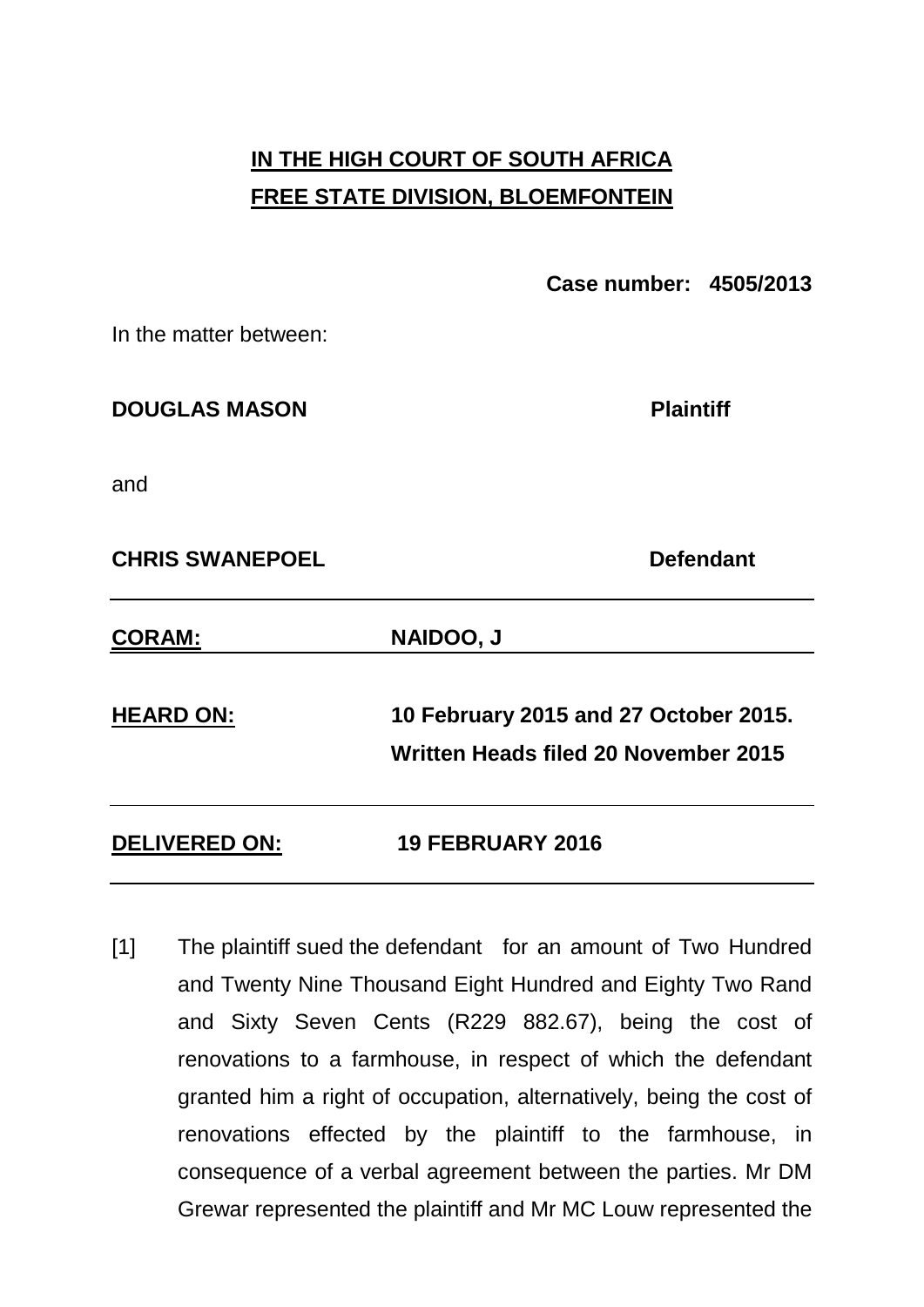# **IN THE HIGH COURT OF SOUTH AFRICA FREE STATE DIVISION, BLOEMFONTEIN**

**Case number: 4505/2013**

In the matter between:

**DOUGLAS MASON Plaintiff** 

and

**CHRIS SWANEPOEL** Defendant

| <b>CORAM:</b>        | <b>NAIDOO, J</b>                                                              |
|----------------------|-------------------------------------------------------------------------------|
| <b>HEARD ON:</b>     | 10 February 2015 and 27 October 2015.<br>Written Heads filed 20 November 2015 |
| <b>DELIVERED ON:</b> | <b>19 FEBRUARY 2016</b>                                                       |

[1] The plaintiff sued the defendant for an amount of Two Hundred and Twenty Nine Thousand Eight Hundred and Eighty Two Rand and Sixty Seven Cents (R229 882.67), being the cost of renovations to a farmhouse, in respect of which the defendant granted him a right of occupation, alternatively, being the cost of renovations effected by the plaintiff to the farmhouse, in consequence of a verbal agreement between the parties. Mr DM Grewar represented the plaintiff and Mr MC Louw represented the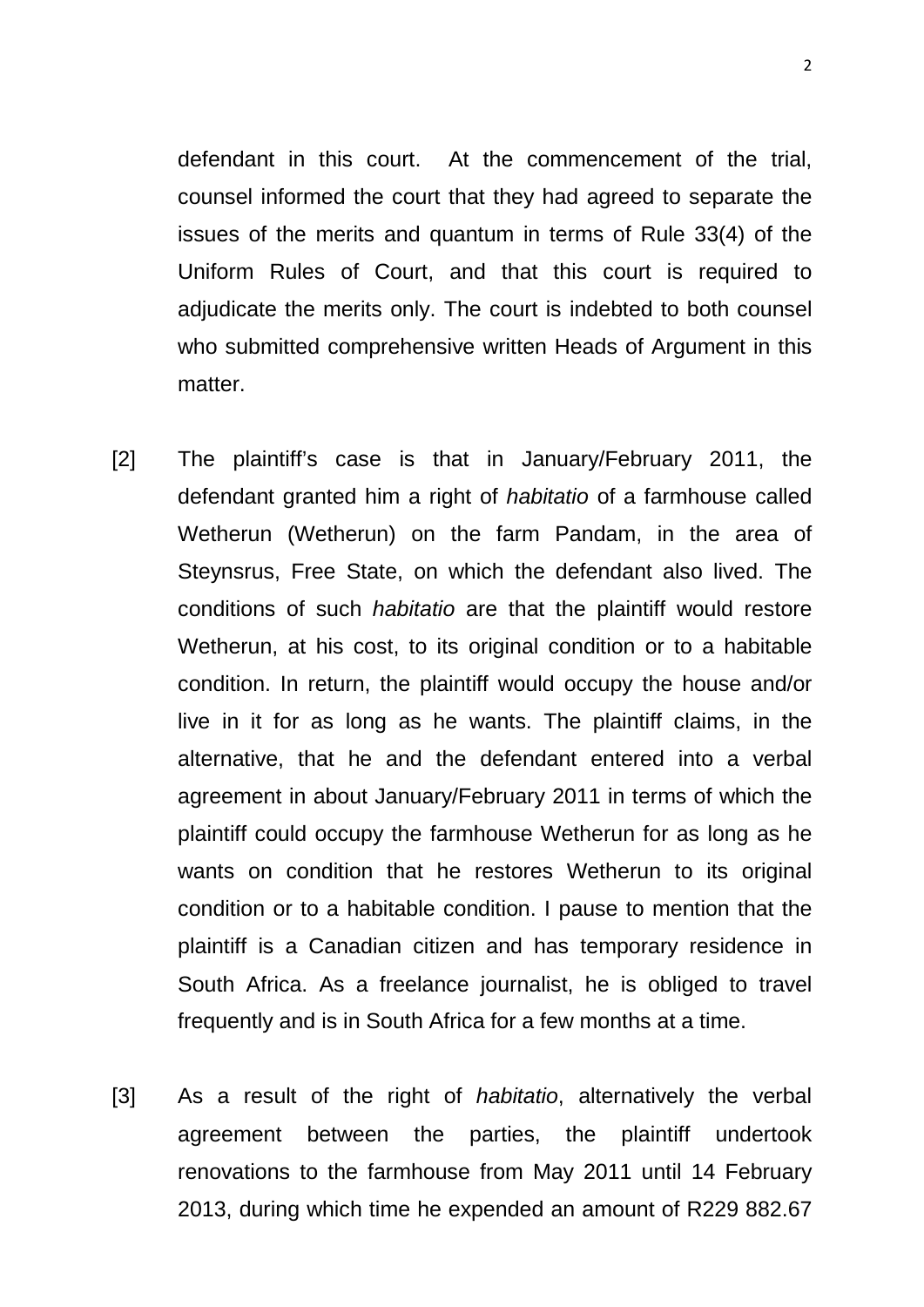defendant in this court. At the commencement of the trial, counsel informed the court that they had agreed to separate the issues of the merits and quantum in terms of Rule 33(4) of the Uniform Rules of Court, and that this court is required to adjudicate the merits only. The court is indebted to both counsel who submitted comprehensive written Heads of Argument in this matter.

- [2] The plaintiff's case is that in January/February 2011, the defendant granted him a right of *habitatio* of a farmhouse called Wetherun (Wetherun) on the farm Pandam, in the area of Steynsrus, Free State, on which the defendant also lived. The conditions of such *habitatio* are that the plaintiff would restore Wetherun, at his cost, to its original condition or to a habitable condition. In return, the plaintiff would occupy the house and/or live in it for as long as he wants. The plaintiff claims, in the alternative, that he and the defendant entered into a verbal agreement in about January/February 2011 in terms of which the plaintiff could occupy the farmhouse Wetherun for as long as he wants on condition that he restores Wetherun to its original condition or to a habitable condition. I pause to mention that the plaintiff is a Canadian citizen and has temporary residence in South Africa. As a freelance journalist, he is obliged to travel frequently and is in South Africa for a few months at a time.
- [3] As a result of the right of *habitatio*, alternatively the verbal agreement between the parties, the plaintiff undertook renovations to the farmhouse from May 2011 until 14 February 2013, during which time he expended an amount of R229 882.67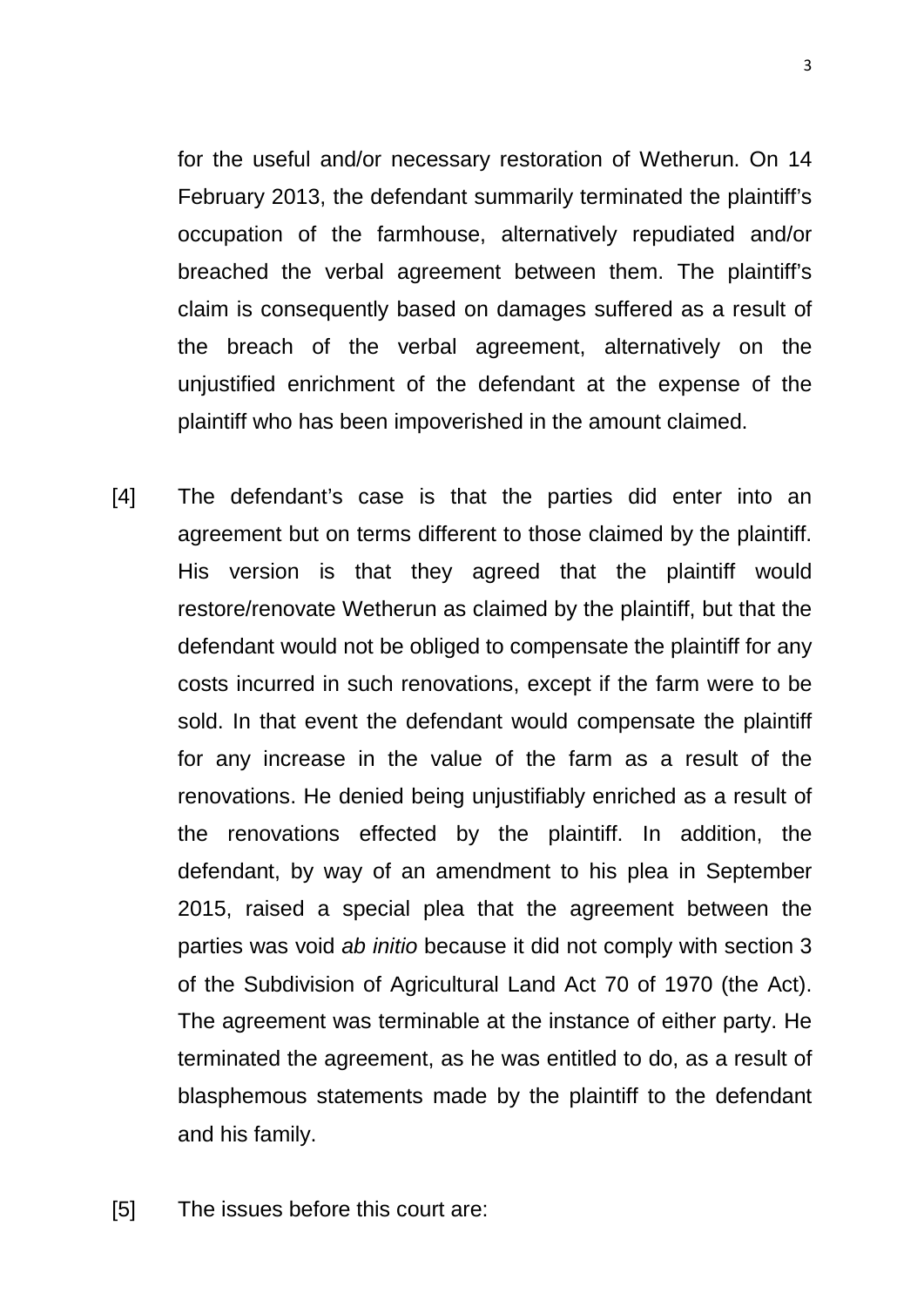for the useful and/or necessary restoration of Wetherun. On 14 February 2013, the defendant summarily terminated the plaintiff's occupation of the farmhouse, alternatively repudiated and/or breached the verbal agreement between them. The plaintiff's claim is consequently based on damages suffered as a result of the breach of the verbal agreement, alternatively on the unjustified enrichment of the defendant at the expense of the plaintiff who has been impoverished in the amount claimed.

[4] The defendant's case is that the parties did enter into an agreement but on terms different to those claimed by the plaintiff. His version is that they agreed that the plaintiff would restore/renovate Wetherun as claimed by the plaintiff, but that the defendant would not be obliged to compensate the plaintiff for any costs incurred in such renovations, except if the farm were to be sold. In that event the defendant would compensate the plaintiff for any increase in the value of the farm as a result of the renovations. He denied being unjustifiably enriched as a result of the renovations effected by the plaintiff. In addition, the defendant, by way of an amendment to his plea in September 2015, raised a special plea that the agreement between the parties was void *ab initio* because it did not comply with section 3 of the Subdivision of Agricultural Land Act 70 of 1970 (the Act). The agreement was terminable at the instance of either party. He terminated the agreement, as he was entitled to do, as a result of blasphemous statements made by the plaintiff to the defendant and his family.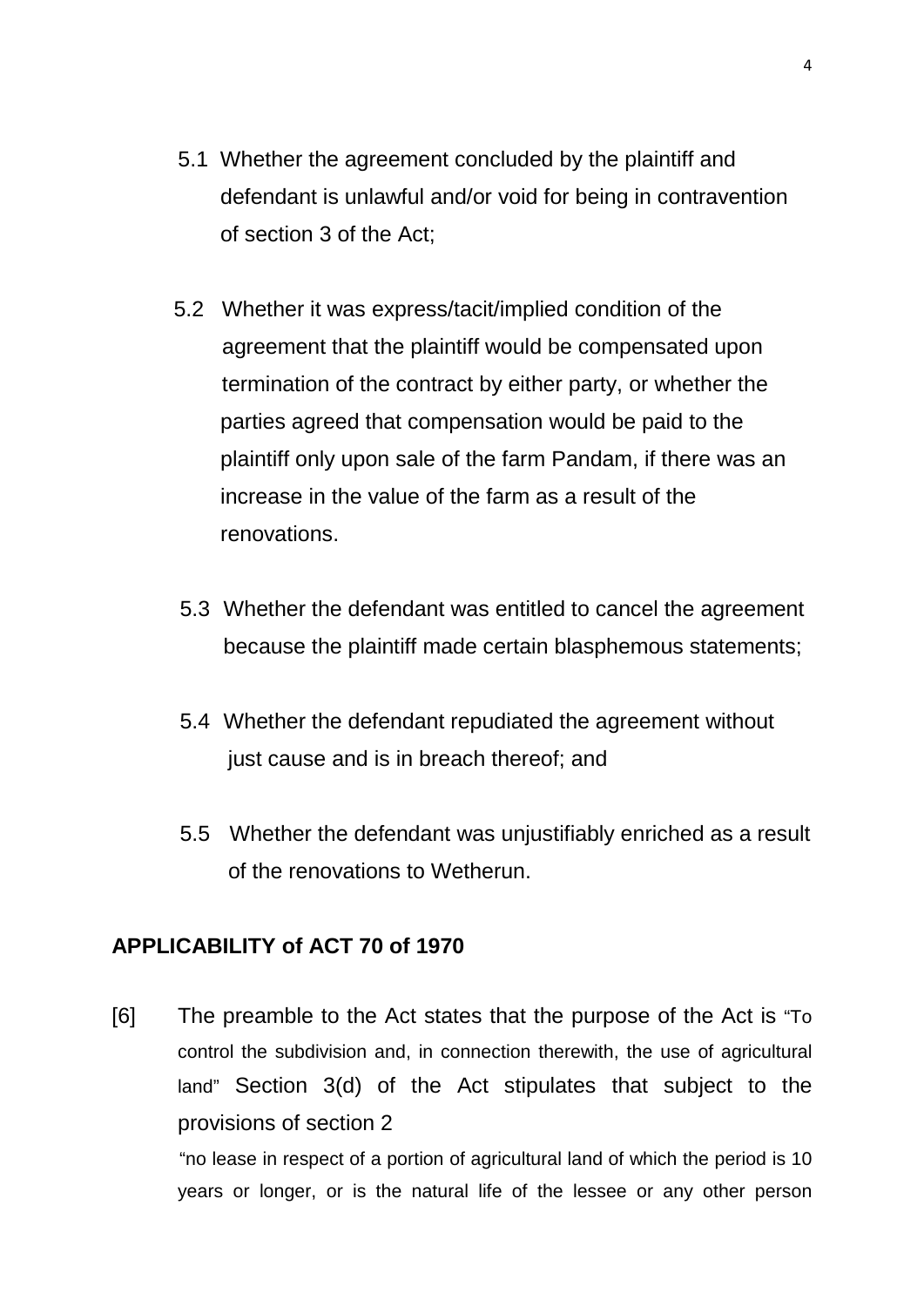- 5.1 Whether the agreement concluded by the plaintiff and defendant is unlawful and/or void for being in contravention of section 3 of the Act;
- 5.2 Whether it was express/tacit/implied condition of the agreement that the plaintiff would be compensated upon termination of the contract by either party, or whether the parties agreed that compensation would be paid to the plaintiff only upon sale of the farm Pandam, if there was an increase in the value of the farm as a result of the renovations.
- 5.3 Whether the defendant was entitled to cancel the agreement because the plaintiff made certain blasphemous statements;
- 5.4 Whether the defendant repudiated the agreement without just cause and is in breach thereof; and
- 5.5 Whether the defendant was unjustifiably enriched as a result of the renovations to Wetherun.

## **APPLICABILITY of ACT 70 of 1970**

[6] The preamble to the Act states that the purpose of the Act is "To control the subdivision and, in connection therewith, the use of agricultural land" Section 3(d) of the Act stipulates that subject to the provisions of section 2 "no lease in respect of a portion of agricultural land of which the period is 10

years or longer, or is the natural life of the lessee or any other person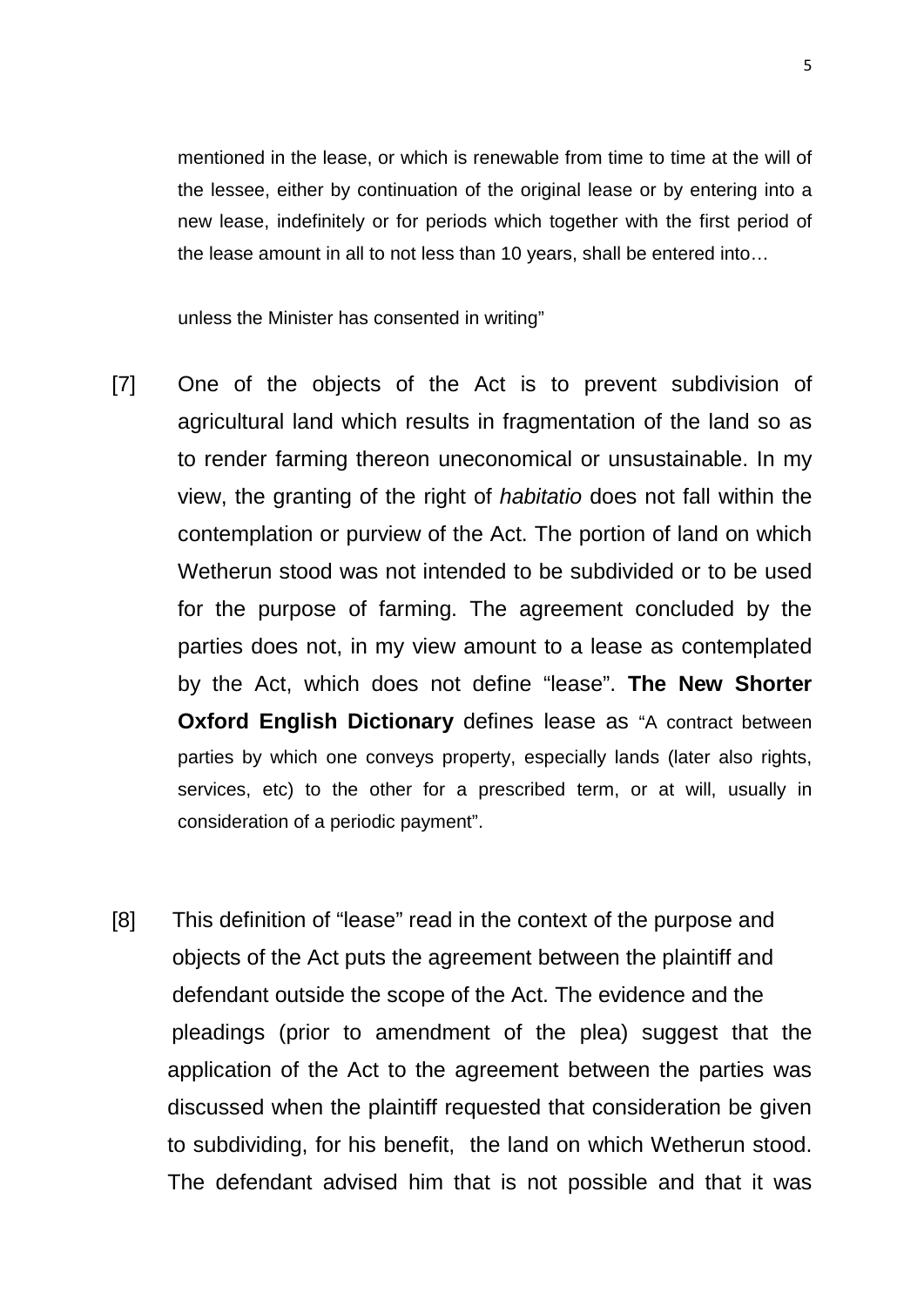mentioned in the lease, or which is renewable from time to time at the will of the lessee, either by continuation of the original lease or by entering into a new lease, indefinitely or for periods which together with the first period of the lease amount in all to not less than 10 years, shall be entered into…

unless the Minister has consented in writing"

- [7] One of the objects of the Act is to prevent subdivision of agricultural land which results in fragmentation of the land so as to render farming thereon uneconomical or unsustainable. In my view, the granting of the right of *habitatio* does not fall within the contemplation or purview of the Act. The portion of land on which Wetherun stood was not intended to be subdivided or to be used for the purpose of farming. The agreement concluded by the parties does not, in my view amount to a lease as contemplated by the Act, which does not define "lease". **The New Shorter Oxford English Dictionary** defines lease as "A contract between parties by which one conveys property, especially lands (later also rights, services, etc) to the other for a prescribed term, or at will, usually in consideration of a periodic payment".
- [8] This definition of "lease" read in the context of the purpose and objects of the Act puts the agreement between the plaintiff and defendant outside the scope of the Act. The evidence and the pleadings (prior to amendment of the plea) suggest that the application of the Act to the agreement between the parties was discussed when the plaintiff requested that consideration be given to subdividing, for his benefit, the land on which Wetherun stood. The defendant advised him that is not possible and that it was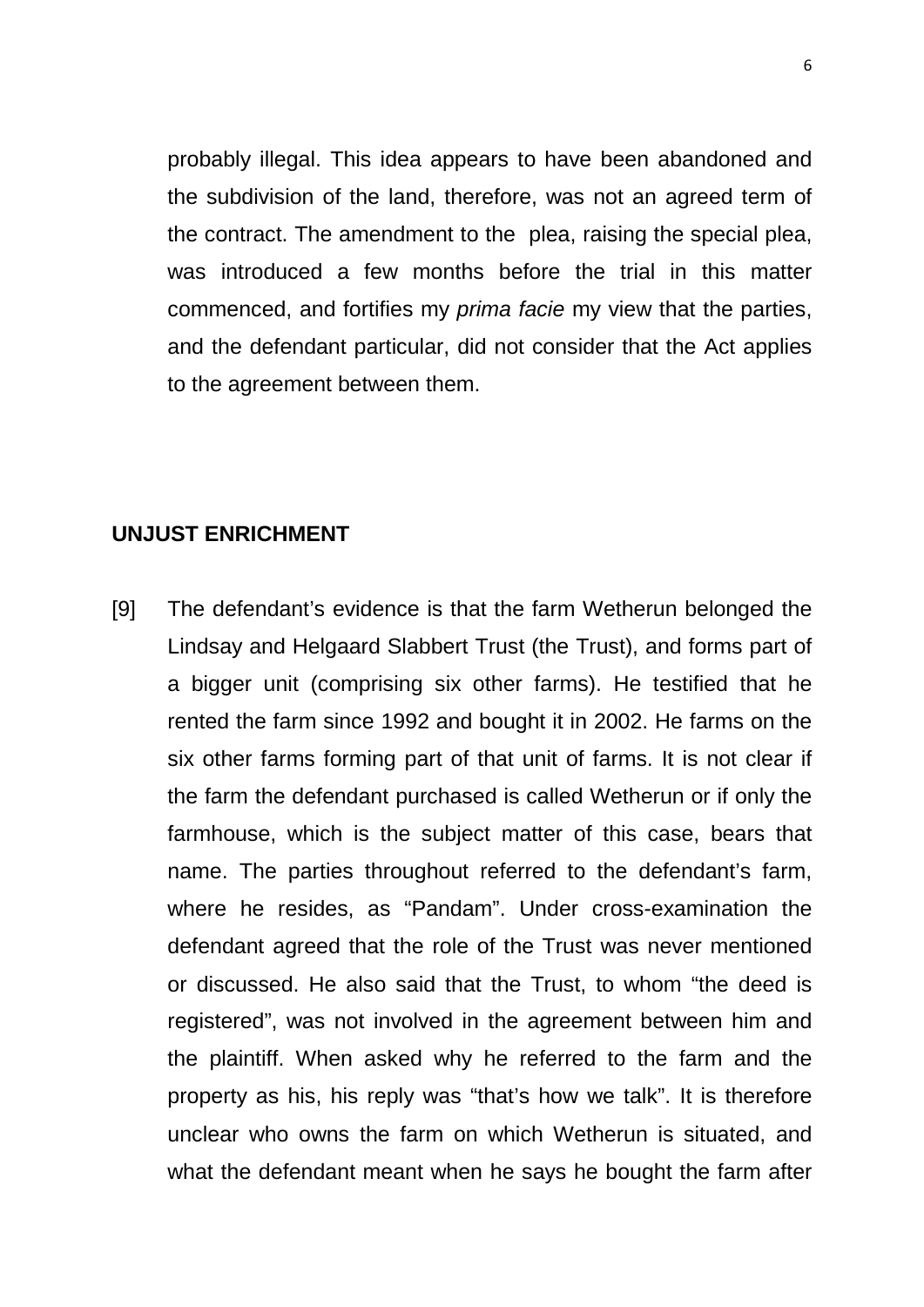probably illegal. This idea appears to have been abandoned and the subdivision of the land, therefore, was not an agreed term of the contract. The amendment to the plea, raising the special plea, was introduced a few months before the trial in this matter commenced, and fortifies my *prima facie* my view that the parties, and the defendant particular, did not consider that the Act applies to the agreement between them.

#### **UNJUST ENRICHMENT**

[9] The defendant's evidence is that the farm Wetherun belonged the Lindsay and Helgaard Slabbert Trust (the Trust), and forms part of a bigger unit (comprising six other farms). He testified that he rented the farm since 1992 and bought it in 2002. He farms on the six other farms forming part of that unit of farms. It is not clear if the farm the defendant purchased is called Wetherun or if only the farmhouse, which is the subject matter of this case, bears that name. The parties throughout referred to the defendant's farm, where he resides, as "Pandam". Under cross-examination the defendant agreed that the role of the Trust was never mentioned or discussed. He also said that the Trust, to whom "the deed is registered", was not involved in the agreement between him and the plaintiff. When asked why he referred to the farm and the property as his, his reply was "that's how we talk". It is therefore unclear who owns the farm on which Wetherun is situated, and what the defendant meant when he says he bought the farm after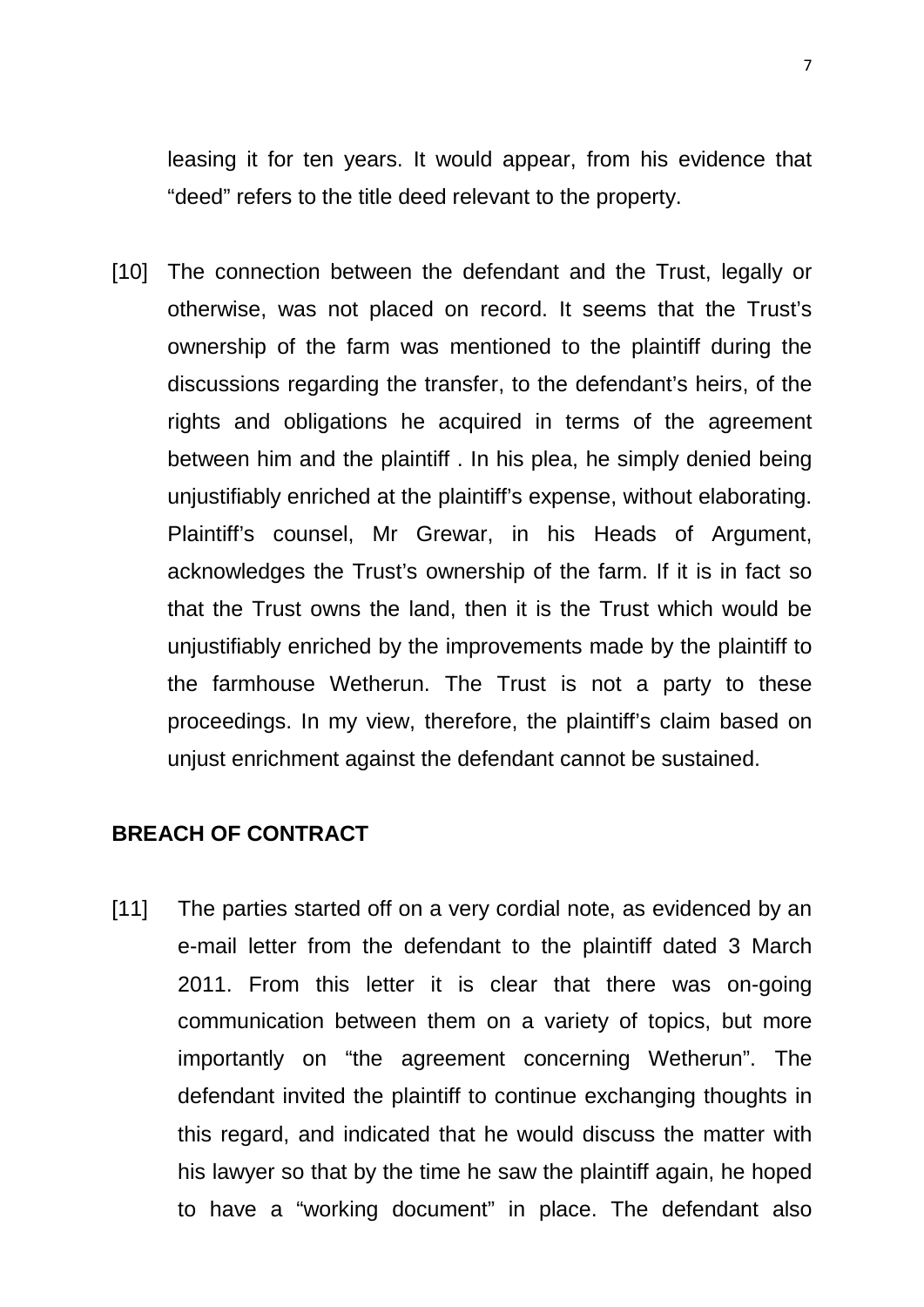leasing it for ten years. It would appear, from his evidence that "deed" refers to the title deed relevant to the property.

[10] The connection between the defendant and the Trust, legally or otherwise, was not placed on record. It seems that the Trust's ownership of the farm was mentioned to the plaintiff during the discussions regarding the transfer, to the defendant's heirs, of the rights and obligations he acquired in terms of the agreement between him and the plaintiff . In his plea, he simply denied being unjustifiably enriched at the plaintiff's expense, without elaborating. Plaintiff's counsel, Mr Grewar, in his Heads of Argument, acknowledges the Trust's ownership of the farm. If it is in fact so that the Trust owns the land, then it is the Trust which would be unjustifiably enriched by the improvements made by the plaintiff to the farmhouse Wetherun. The Trust is not a party to these proceedings. In my view, therefore, the plaintiff's claim based on unjust enrichment against the defendant cannot be sustained.

#### **BREACH OF CONTRACT**

[11] The parties started off on a very cordial note, as evidenced by an e-mail letter from the defendant to the plaintiff dated 3 March 2011. From this letter it is clear that there was on-going communication between them on a variety of topics, but more importantly on "the agreement concerning Wetherun". The defendant invited the plaintiff to continue exchanging thoughts in this regard, and indicated that he would discuss the matter with his lawyer so that by the time he saw the plaintiff again, he hoped to have a "working document" in place. The defendant also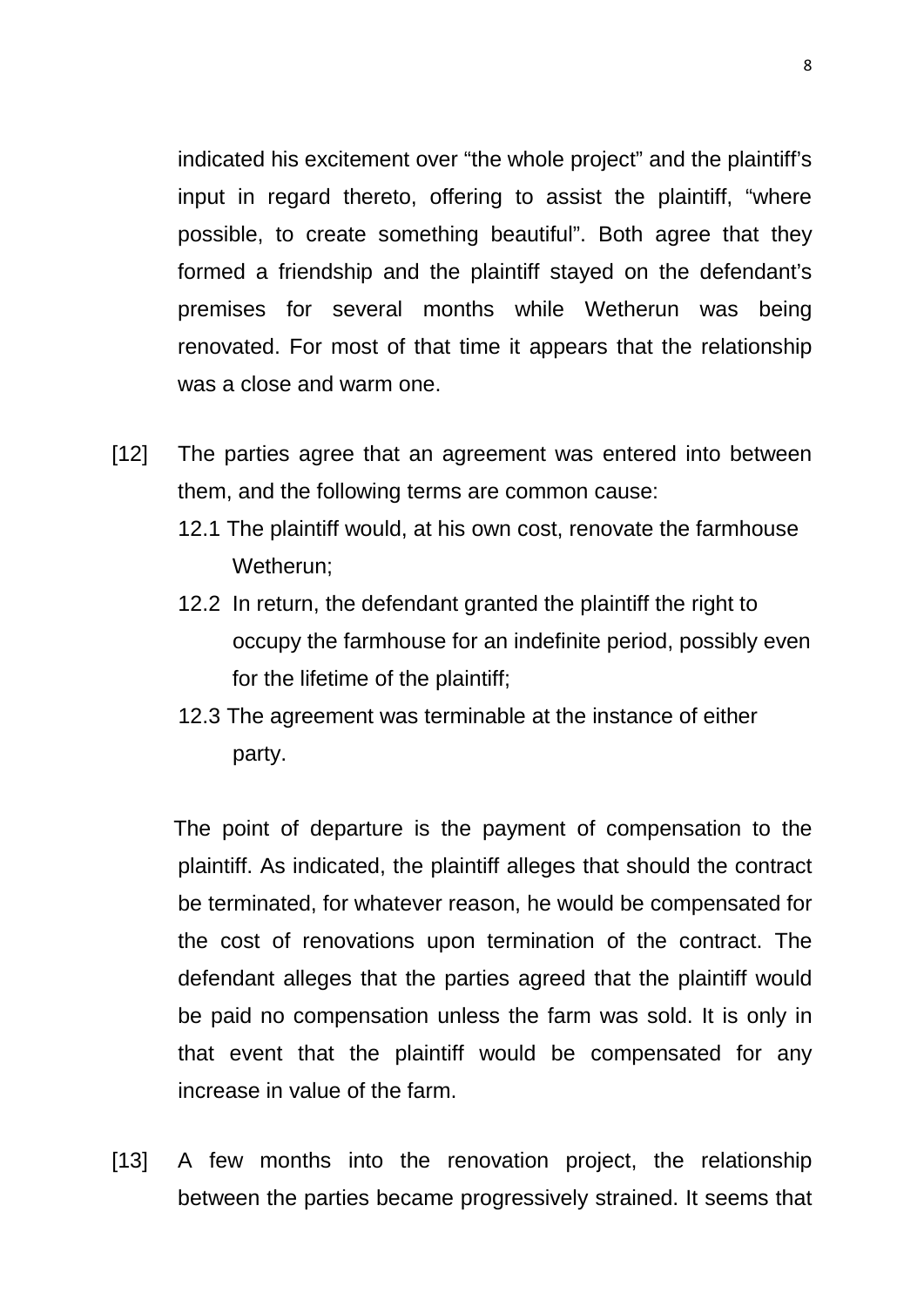indicated his excitement over "the whole project" and the plaintiff's input in regard thereto, offering to assist the plaintiff, "where possible, to create something beautiful". Both agree that they formed a friendship and the plaintiff stayed on the defendant's premises for several months while Wetherun was being renovated. For most of that time it appears that the relationship was a close and warm one.

- [12] The parties agree that an agreement was entered into between them, and the following terms are common cause:
	- 12.1 The plaintiff would, at his own cost, renovate the farmhouse Wetherun;
	- 12.2 In return, the defendant granted the plaintiff the right to occupy the farmhouse for an indefinite period, possibly even for the lifetime of the plaintiff;
	- 12.3 The agreement was terminable at the instance of either party.

The point of departure is the payment of compensation to the plaintiff. As indicated, the plaintiff alleges that should the contract be terminated, for whatever reason, he would be compensated for the cost of renovations upon termination of the contract. The defendant alleges that the parties agreed that the plaintiff would be paid no compensation unless the farm was sold. It is only in that event that the plaintiff would be compensated for any increase in value of the farm.

[13] A few months into the renovation project, the relationship between the parties became progressively strained. It seems that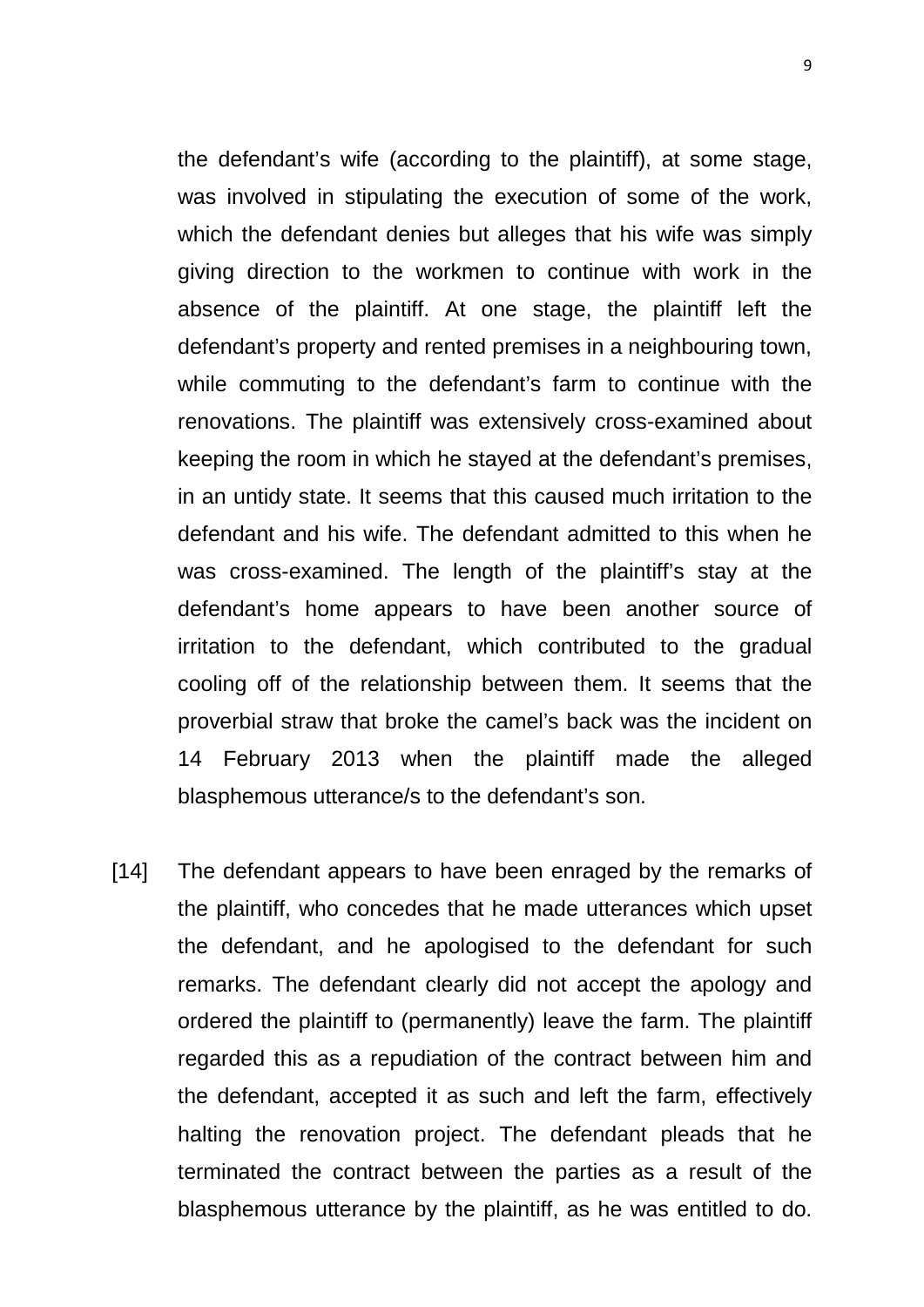the defendant's wife (according to the plaintiff), at some stage, was involved in stipulating the execution of some of the work, which the defendant denies but alleges that his wife was simply giving direction to the workmen to continue with work in the absence of the plaintiff. At one stage, the plaintiff left the defendant's property and rented premises in a neighbouring town, while commuting to the defendant's farm to continue with the renovations. The plaintiff was extensively cross-examined about keeping the room in which he stayed at the defendant's premises, in an untidy state. It seems that this caused much irritation to the defendant and his wife. The defendant admitted to this when he was cross-examined. The length of the plaintiff's stay at the defendant's home appears to have been another source of irritation to the defendant, which contributed to the gradual cooling off of the relationship between them. It seems that the proverbial straw that broke the camel's back was the incident on 14 February 2013 when the plaintiff made the alleged blasphemous utterance/s to the defendant's son.

[14] The defendant appears to have been enraged by the remarks of the plaintiff, who concedes that he made utterances which upset the defendant, and he apologised to the defendant for such remarks. The defendant clearly did not accept the apology and ordered the plaintiff to (permanently) leave the farm. The plaintiff regarded this as a repudiation of the contract between him and the defendant, accepted it as such and left the farm, effectively halting the renovation project. The defendant pleads that he terminated the contract between the parties as a result of the blasphemous utterance by the plaintiff, as he was entitled to do.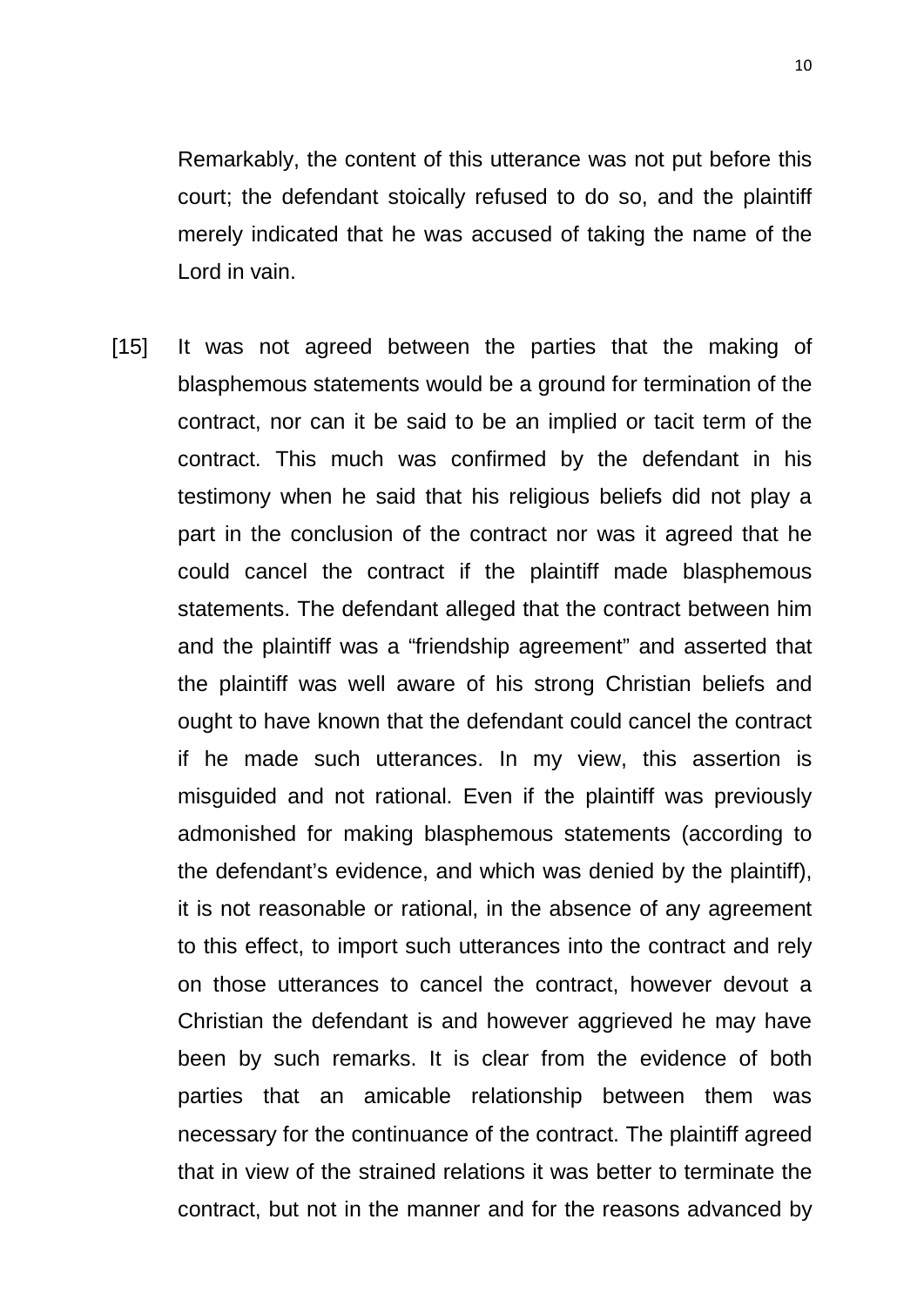Remarkably, the content of this utterance was not put before this court; the defendant stoically refused to do so, and the plaintiff merely indicated that he was accused of taking the name of the Lord in vain.

[15] It was not agreed between the parties that the making of blasphemous statements would be a ground for termination of the contract, nor can it be said to be an implied or tacit term of the contract. This much was confirmed by the defendant in his testimony when he said that his religious beliefs did not play a part in the conclusion of the contract nor was it agreed that he could cancel the contract if the plaintiff made blasphemous statements. The defendant alleged that the contract between him and the plaintiff was a "friendship agreement" and asserted that the plaintiff was well aware of his strong Christian beliefs and ought to have known that the defendant could cancel the contract if he made such utterances. In my view, this assertion is misguided and not rational. Even if the plaintiff was previously admonished for making blasphemous statements (according to the defendant's evidence, and which was denied by the plaintiff), it is not reasonable or rational, in the absence of any agreement to this effect, to import such utterances into the contract and rely on those utterances to cancel the contract, however devout a Christian the defendant is and however aggrieved he may have been by such remarks. It is clear from the evidence of both parties that an amicable relationship between them was necessary for the continuance of the contract. The plaintiff agreed that in view of the strained relations it was better to terminate the contract, but not in the manner and for the reasons advanced by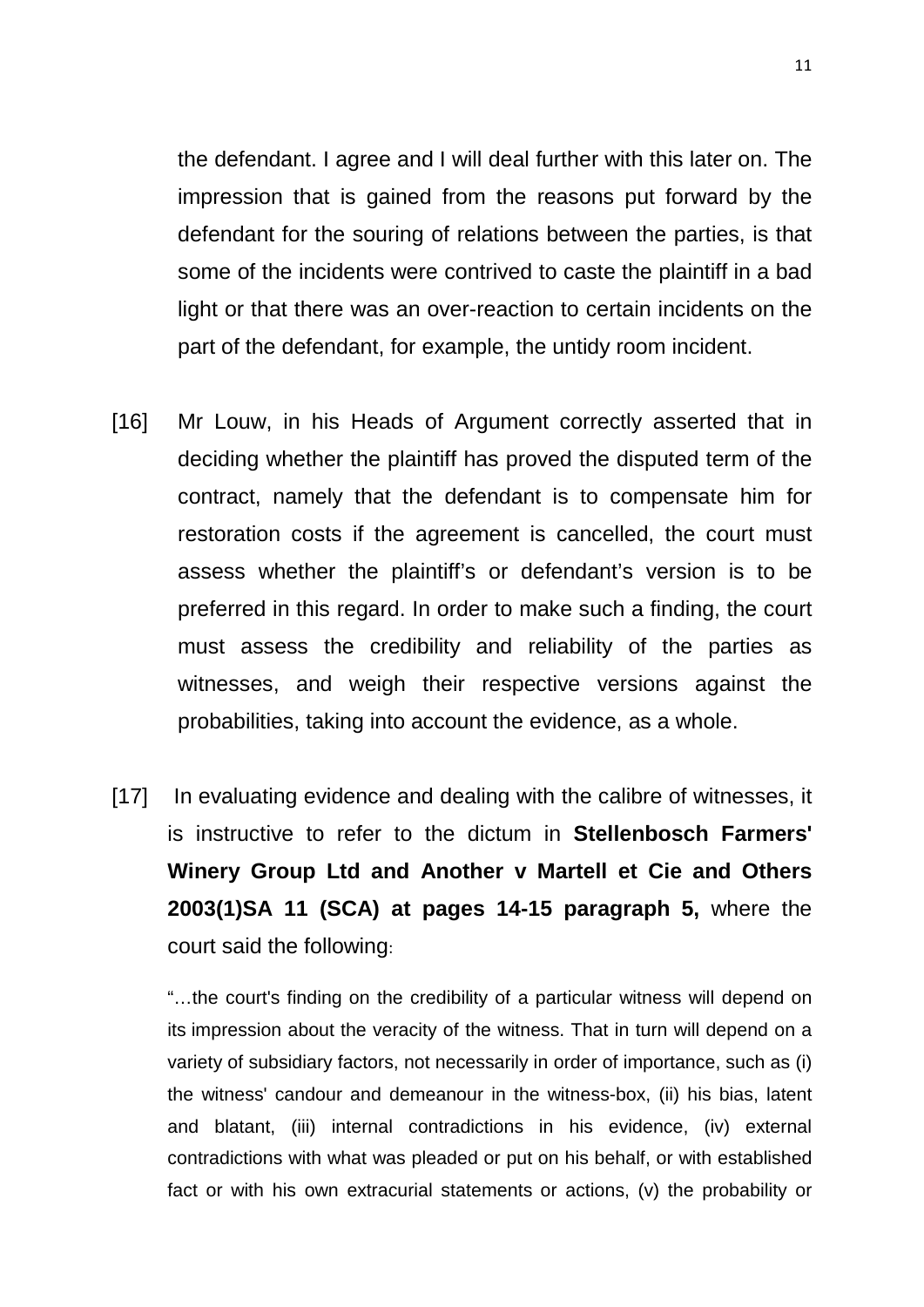the defendant. I agree and I will deal further with this later on. The impression that is gained from the reasons put forward by the defendant for the souring of relations between the parties, is that some of the incidents were contrived to caste the plaintiff in a bad light or that there was an over-reaction to certain incidents on the part of the defendant, for example, the untidy room incident.

- [16] Mr Louw, in his Heads of Argument correctly asserted that in deciding whether the plaintiff has proved the disputed term of the contract, namely that the defendant is to compensate him for restoration costs if the agreement is cancelled, the court must assess whether the plaintiff's or defendant's version is to be preferred in this regard. In order to make such a finding, the court must assess the credibility and reliability of the parties as witnesses, and weigh their respective versions against the probabilities, taking into account the evidence, as a whole.
- [17] In evaluating evidence and dealing with the calibre of witnesses, it is instructive to refer to the dictum in **Stellenbosch Farmers' Winery Group Ltd and Another v Martell et Cie and Others 2003(1)SA 11 (SCA) at pages 14-15 paragraph 5,** where the court said the following:

"…the court's finding on the credibility of a particular witness will depend on its impression about the veracity of the witness. That in turn will depend on a variety of subsidiary factors, not necessarily in order of importance, such as (i) the witness' candour and demeanour in the witness-box, (ii) his bias, latent and blatant, (iii) internal contradictions in his evidence, (iv) external contradictions with what was pleaded or put on his behalf, or with established fact or with his own extracurial statements or actions, (v) the probability or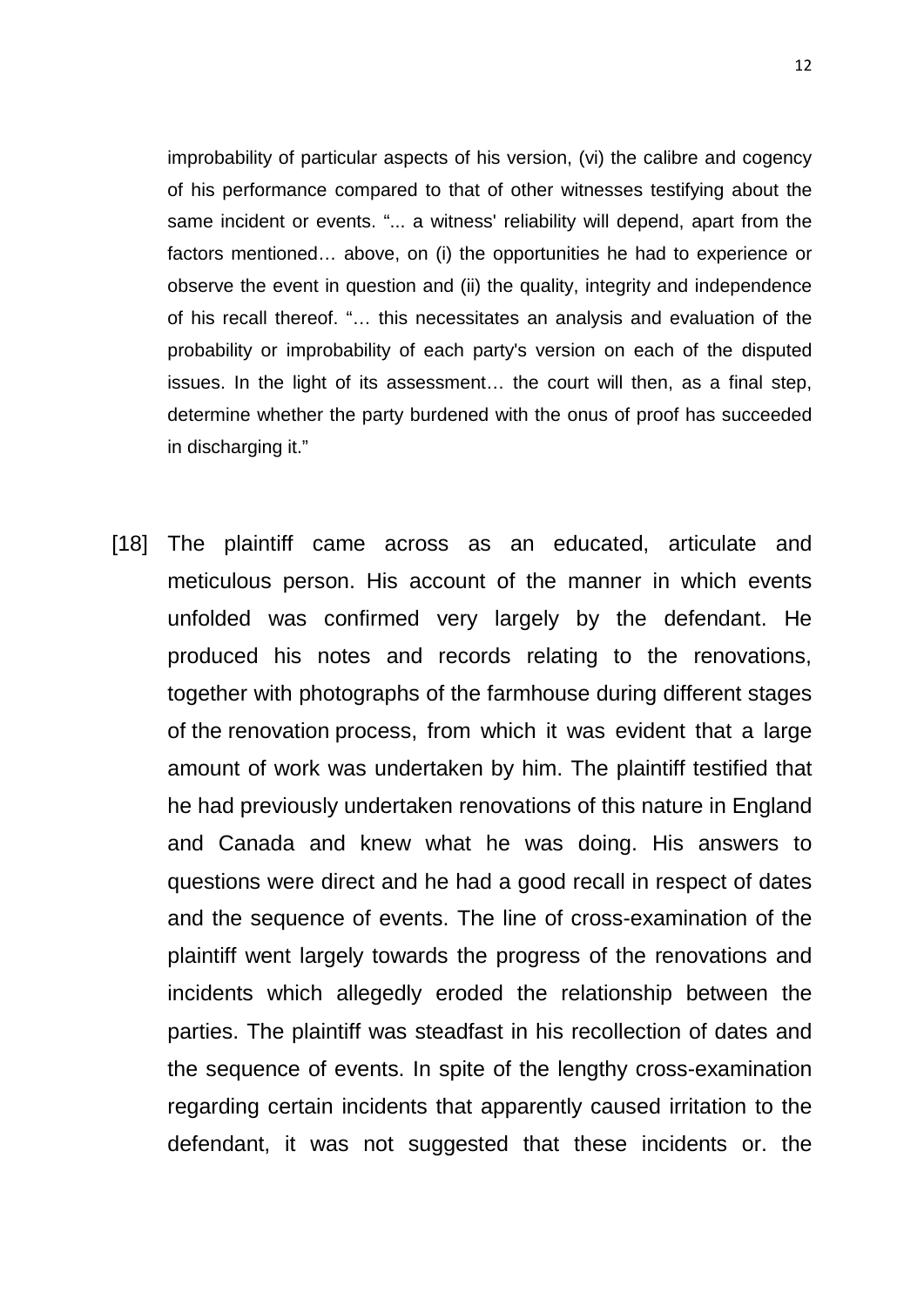improbability of particular aspects of his version, (vi) the calibre and cogency of his performance compared to that of other witnesses testifying about the same incident or events. "... a witness' reliability will depend, apart from the factors mentioned… above, on (i) the opportunities he had to experience or observe the event in question and (ii) the quality, integrity and independence of his recall thereof. "… this necessitates an analysis and evaluation of the probability or improbability of each party's version on each of the disputed issues. In the light of its assessment… the court will then, as a final step, determine whether the party burdened with the onus of proof has succeeded in discharging it."

[18] The plaintiff came across as an educated, articulate and meticulous person. His account of the manner in which events unfolded was confirmed very largely by the defendant. He produced his notes and records relating to the renovations, together with photographs of the farmhouse during different stages of the renovation process, from which it was evident that a large amount of work was undertaken by him. The plaintiff testified that he had previously undertaken renovations of this nature in England and Canada and knew what he was doing. His answers to questions were direct and he had a good recall in respect of dates and the sequence of events. The line of cross-examination of the plaintiff went largely towards the progress of the renovations and incidents which allegedly eroded the relationship between the parties. The plaintiff was steadfast in his recollection of dates and the sequence of events. In spite of the lengthy cross-examination regarding certain incidents that apparently caused irritation to the defendant, it was not suggested that these incidents or. the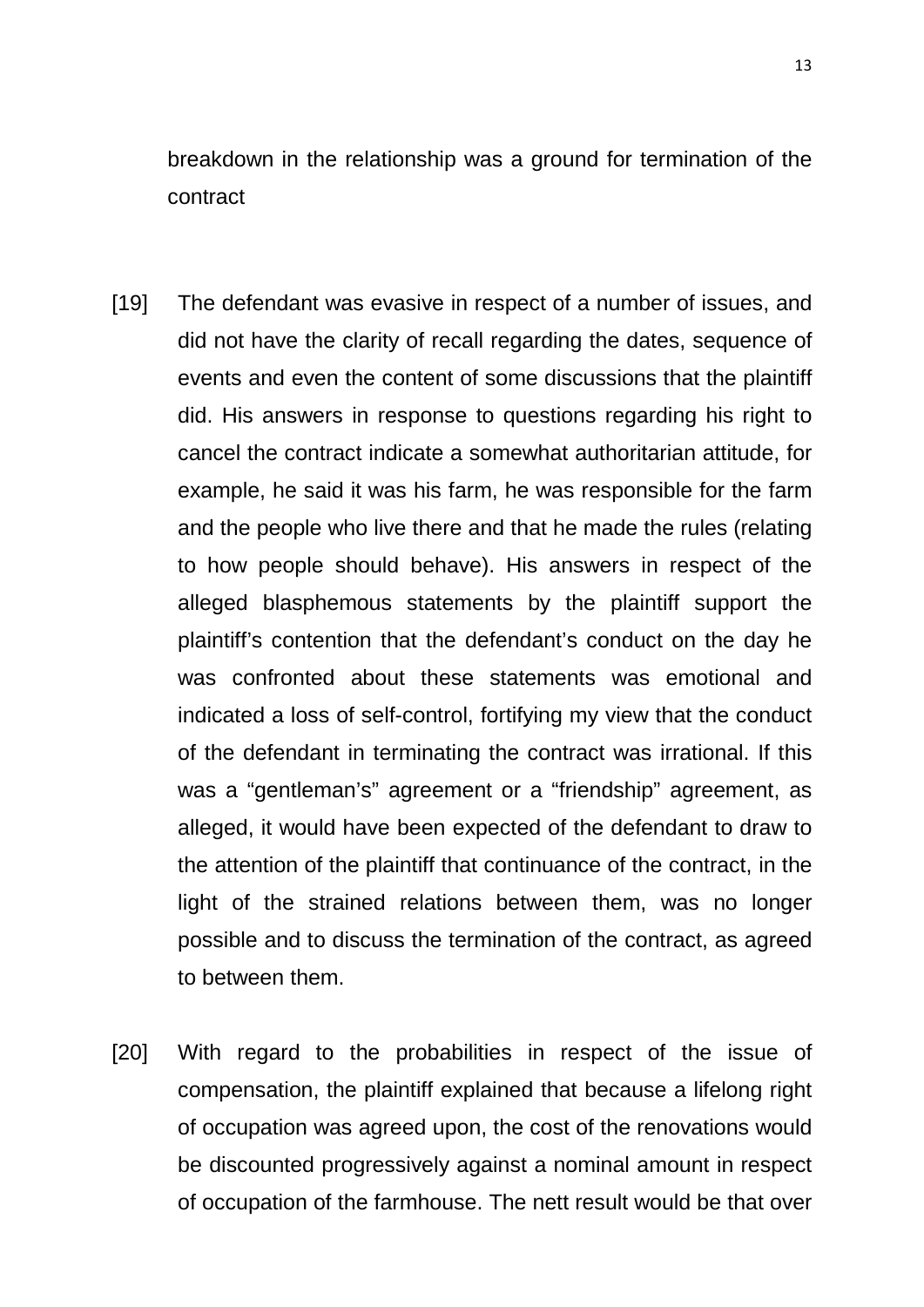breakdown in the relationship was a ground for termination of the contract

- [19] The defendant was evasive in respect of a number of issues, and did not have the clarity of recall regarding the dates, sequence of events and even the content of some discussions that the plaintiff did. His answers in response to questions regarding his right to cancel the contract indicate a somewhat authoritarian attitude, for example, he said it was his farm, he was responsible for the farm and the people who live there and that he made the rules (relating to how people should behave). His answers in respect of the alleged blasphemous statements by the plaintiff support the plaintiff's contention that the defendant's conduct on the day he was confronted about these statements was emotional and indicated a loss of self-control, fortifying my view that the conduct of the defendant in terminating the contract was irrational. If this was a "gentleman's" agreement or a "friendship" agreement, as alleged, it would have been expected of the defendant to draw to the attention of the plaintiff that continuance of the contract, in the light of the strained relations between them, was no longer possible and to discuss the termination of the contract, as agreed to between them.
- [20] With regard to the probabilities in respect of the issue of compensation, the plaintiff explained that because a lifelong right of occupation was agreed upon, the cost of the renovations would be discounted progressively against a nominal amount in respect of occupation of the farmhouse. The nett result would be that over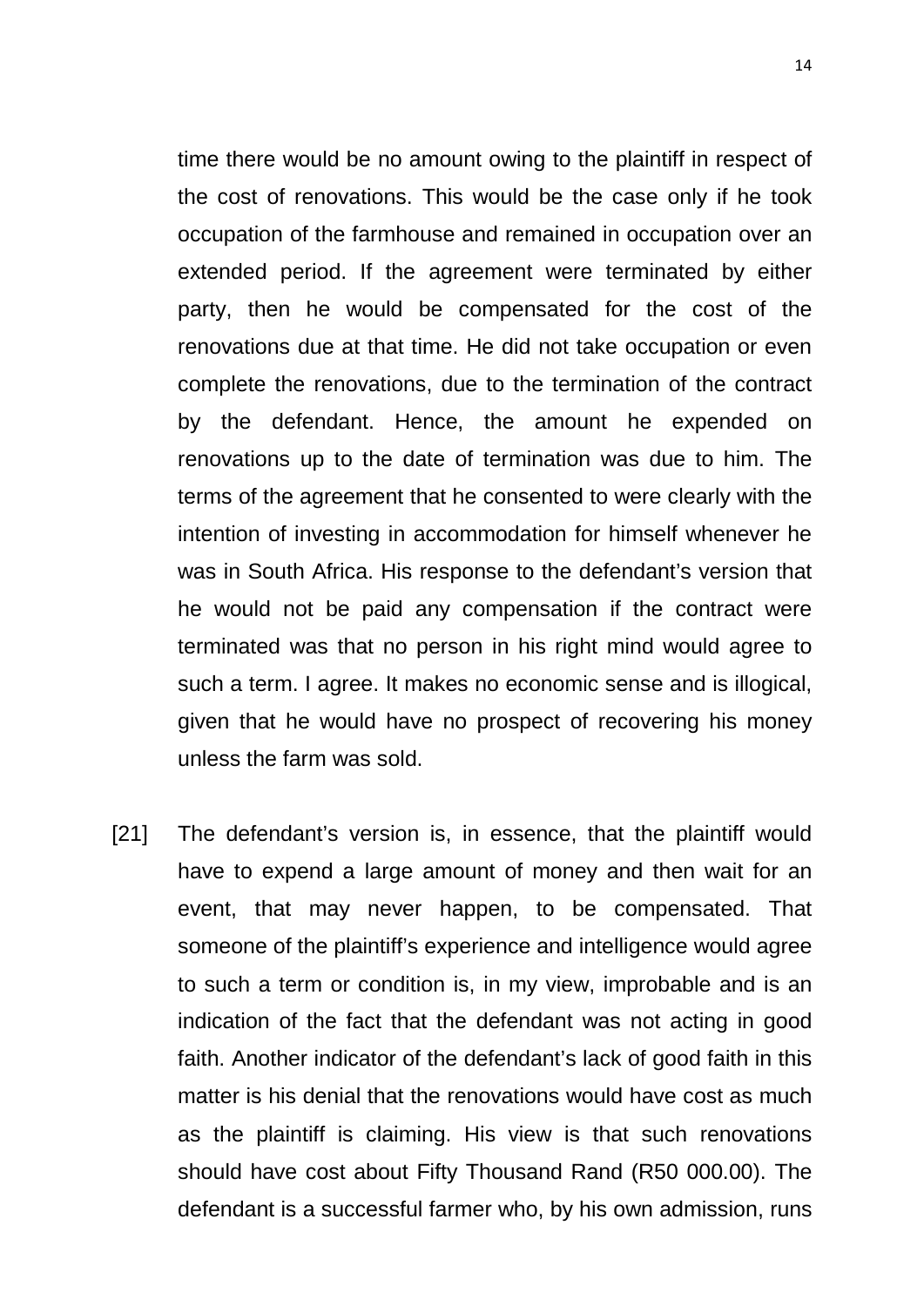time there would be no amount owing to the plaintiff in respect of the cost of renovations. This would be the case only if he took occupation of the farmhouse and remained in occupation over an extended period. If the agreement were terminated by either party, then he would be compensated for the cost of the renovations due at that time. He did not take occupation or even complete the renovations, due to the termination of the contract by the defendant. Hence, the amount he expended on renovations up to the date of termination was due to him. The terms of the agreement that he consented to were clearly with the intention of investing in accommodation for himself whenever he was in South Africa. His response to the defendant's version that he would not be paid any compensation if the contract were terminated was that no person in his right mind would agree to such a term. I agree. It makes no economic sense and is illogical, given that he would have no prospect of recovering his money unless the farm was sold.

[21] The defendant's version is, in essence, that the plaintiff would have to expend a large amount of money and then wait for an event, that may never happen, to be compensated. That someone of the plaintiff's experience and intelligence would agree to such a term or condition is, in my view, improbable and is an indication of the fact that the defendant was not acting in good faith. Another indicator of the defendant's lack of good faith in this matter is his denial that the renovations would have cost as much as the plaintiff is claiming. His view is that such renovations should have cost about Fifty Thousand Rand (R50 000.00). The defendant is a successful farmer who, by his own admission, runs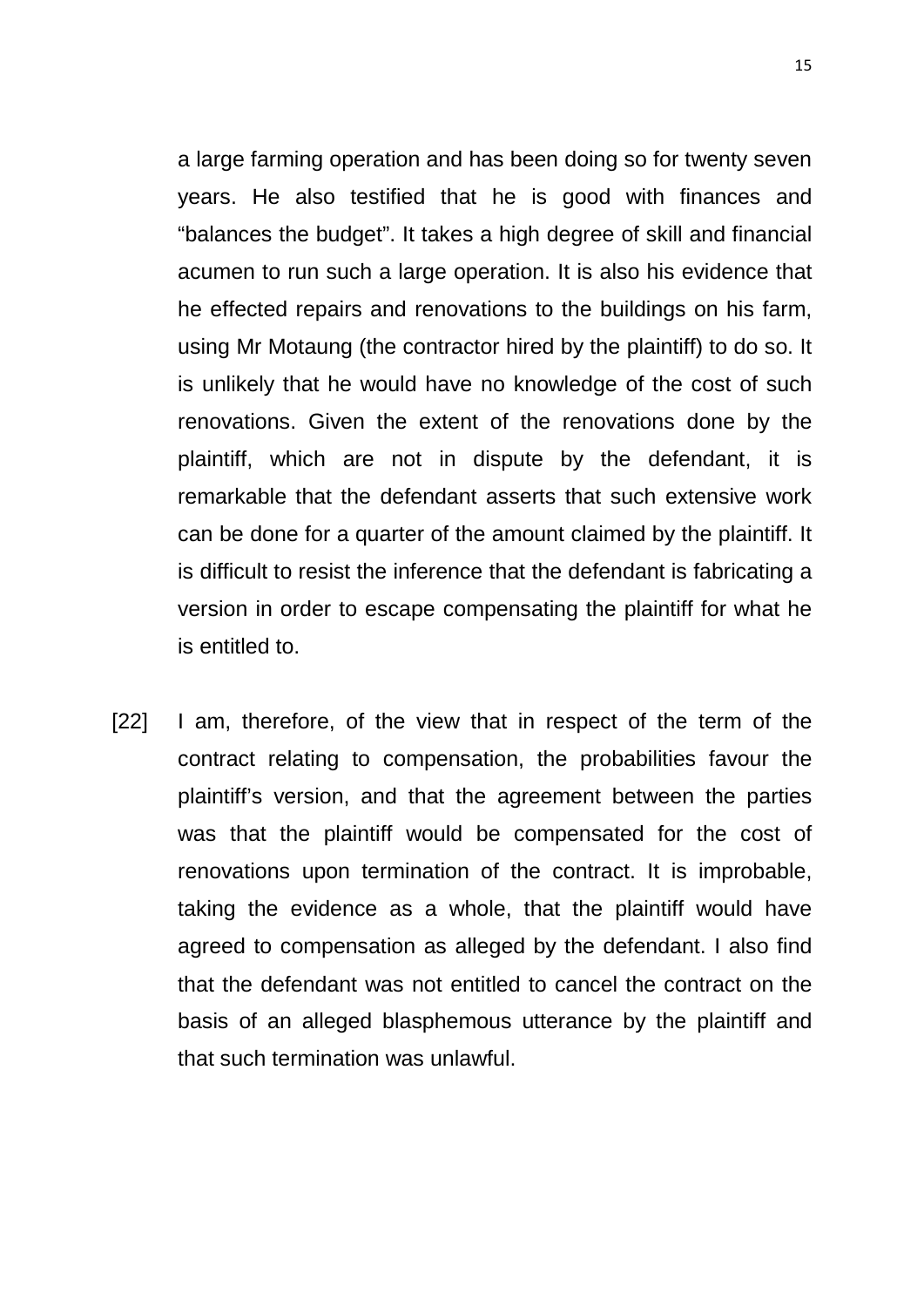a large farming operation and has been doing so for twenty seven years. He also testified that he is good with finances and "balances the budget". It takes a high degree of skill and financial acumen to run such a large operation. It is also his evidence that he effected repairs and renovations to the buildings on his farm, using Mr Motaung (the contractor hired by the plaintiff) to do so. It is unlikely that he would have no knowledge of the cost of such renovations. Given the extent of the renovations done by the plaintiff, which are not in dispute by the defendant, it is remarkable that the defendant asserts that such extensive work can be done for a quarter of the amount claimed by the plaintiff. It is difficult to resist the inference that the defendant is fabricating a version in order to escape compensating the plaintiff for what he is entitled to.

[22] I am, therefore, of the view that in respect of the term of the contract relating to compensation, the probabilities favour the plaintiff's version, and that the agreement between the parties was that the plaintiff would be compensated for the cost of renovations upon termination of the contract. It is improbable, taking the evidence as a whole, that the plaintiff would have agreed to compensation as alleged by the defendant. I also find that the defendant was not entitled to cancel the contract on the basis of an alleged blasphemous utterance by the plaintiff and that such termination was unlawful.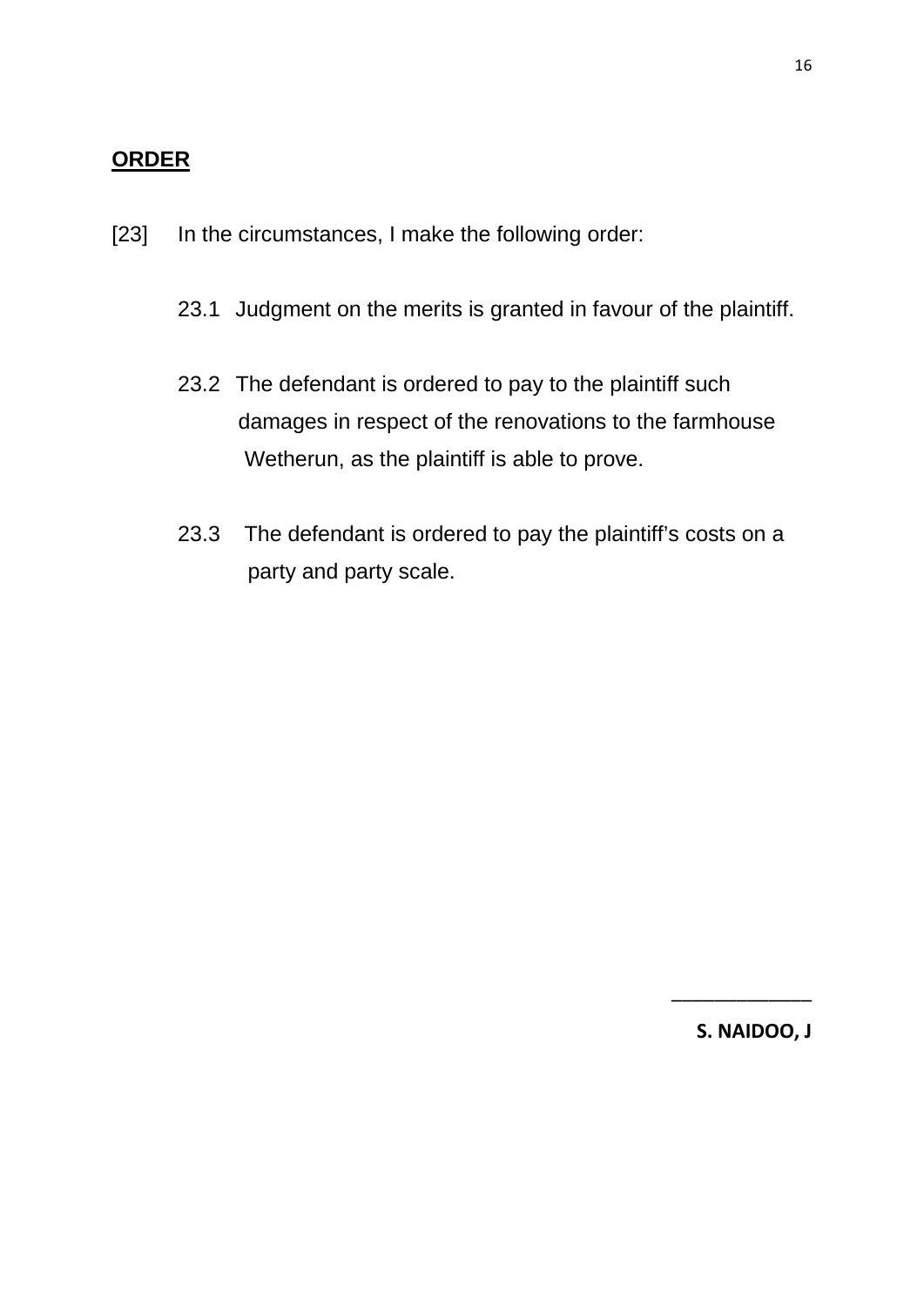### **ORDER**

- [23] In the circumstances, I make the following order:
	- 23.1 Judgment on the merits is granted in favour of the plaintiff.
	- 23.2 The defendant is ordered to pay to the plaintiff such damages in respect of the renovations to the farmhouse Wetherun, as the plaintiff is able to prove.
	- 23.3 The defendant is ordered to pay the plaintiff's costs on a party and party scale.

**S. NAIDOO, J**

\_\_\_\_\_\_\_\_\_\_\_\_\_